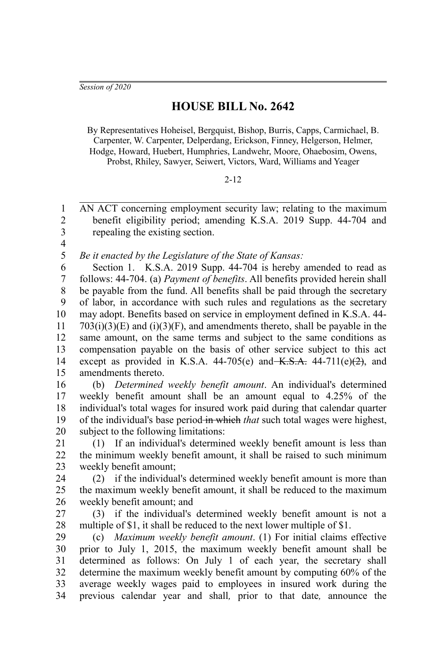*Session of 2020*

## **HOUSE BILL No. 2642**

By Representatives Hoheisel, Bergquist, Bishop, Burris, Capps, Carmichael, B. Carpenter, W. Carpenter, Delperdang, Erickson, Finney, Helgerson, Helmer, Hodge, Howard, Huebert, Humphries, Landwehr, Moore, Ohaebosim, Owens, Probst, Rhiley, Sawyer, Seiwert, Victors, Ward, Williams and Yeager

## 2-12

AN ACT concerning employment security law; relating to the maximum benefit eligibility period; amending K.S.A. 2019 Supp. 44-704 and repealing the existing section. 1  $\mathfrak{D}$ 3

4

*Be it enacted by the Legislature of the State of Kansas:* 5

Section 1. K.S.A. 2019 Supp. 44-704 is hereby amended to read as follows: 44-704. (a) *Payment of benefits*. All benefits provided herein shall be payable from the fund. All benefits shall be paid through the secretary of labor, in accordance with such rules and regulations as the secretary may adopt. Benefits based on service in employment defined in K.S.A. 44-  $703(i)(3)(E)$  and  $(i)(3)(F)$ , and amendments thereto, shall be payable in the same amount, on the same terms and subject to the same conditions as compensation payable on the basis of other service subject to this act except as provided in K.S.A. 44-705(e) and  $K.S.A.$  44-711(e)(2), and amendments thereto. 6 7 8 9 10 11 12 13 14 15

(b) *Determined weekly benefit amount*. An individual's determined weekly benefit amount shall be an amount equal to 4.25% of the individual's total wages for insured work paid during that calendar quarter of the individual's base period in which *that* such total wages were highest, subject to the following limitations: 16 17 18 19 20

(1) If an individual's determined weekly benefit amount is less than the minimum weekly benefit amount, it shall be raised to such minimum weekly benefit amount; 21 22 23

(2) if the individual's determined weekly benefit amount is more than the maximum weekly benefit amount, it shall be reduced to the maximum weekly benefit amount; and 24 25 26

(3) if the individual's determined weekly benefit amount is not a multiple of \$1, it shall be reduced to the next lower multiple of \$1. 27 28

(c) *Maximum weekly benefit amount*. (1) For initial claims effective prior to July 1, 2015, the maximum weekly benefit amount shall be determined as follows: On July 1 of each year, the secretary shall determine the maximum weekly benefit amount by computing 60% of the average weekly wages paid to employees in insured work during the previous calendar year and shall*,* prior to that date*,* announce the 29 30 31 32 33 34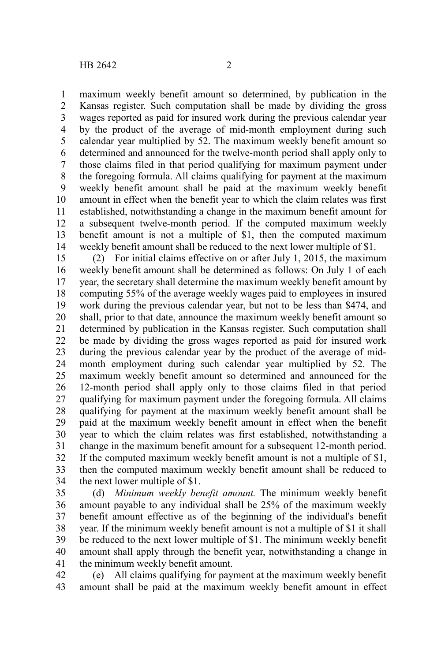maximum weekly benefit amount so determined, by publication in the Kansas register. Such computation shall be made by dividing the gross wages reported as paid for insured work during the previous calendar year by the product of the average of mid-month employment during such calendar year multiplied by 52. The maximum weekly benefit amount so determined and announced for the twelve-month period shall apply only to those claims filed in that period qualifying for maximum payment under the foregoing formula. All claims qualifying for payment at the maximum weekly benefit amount shall be paid at the maximum weekly benefit amount in effect when the benefit year to which the claim relates was first established, notwithstanding a change in the maximum benefit amount for a subsequent twelve-month period. If the computed maximum weekly benefit amount is not a multiple of \$1, then the computed maximum weekly benefit amount shall be reduced to the next lower multiple of \$1. 1 2 3 4 5 6 7 8 9 10 11 12 13 14

(2) For initial claims effective on or after July 1, 2015, the maximum weekly benefit amount shall be determined as follows: On July 1 of each year, the secretary shall determine the maximum weekly benefit amount by computing 55% of the average weekly wages paid to employees in insured work during the previous calendar year, but not to be less than \$474, and shall, prior to that date, announce the maximum weekly benefit amount so determined by publication in the Kansas register. Such computation shall be made by dividing the gross wages reported as paid for insured work during the previous calendar year by the product of the average of midmonth employment during such calendar year multiplied by 52. The maximum weekly benefit amount so determined and announced for the 12-month period shall apply only to those claims filed in that period qualifying for maximum payment under the foregoing formula. All claims qualifying for payment at the maximum weekly benefit amount shall be paid at the maximum weekly benefit amount in effect when the benefit year to which the claim relates was first established, notwithstanding a change in the maximum benefit amount for a subsequent 12-month period. If the computed maximum weekly benefit amount is not a multiple of \$1, then the computed maximum weekly benefit amount shall be reduced to the next lower multiple of \$1. 15 16 17 18 19 20 21 22 23 24 25 26 27 28 29 30 31 32 33 34

(d) *Minimum weekly benefit amount.* The minimum weekly benefit amount payable to any individual shall be 25% of the maximum weekly benefit amount effective as of the beginning of the individual's benefit year. If the minimum weekly benefit amount is not a multiple of \$1 it shall be reduced to the next lower multiple of \$1. The minimum weekly benefit amount shall apply through the benefit year, notwithstanding a change in the minimum weekly benefit amount. 35 36 37 38 39 40 41

(e) All claims qualifying for payment at the maximum weekly benefit amount shall be paid at the maximum weekly benefit amount in effect 42 43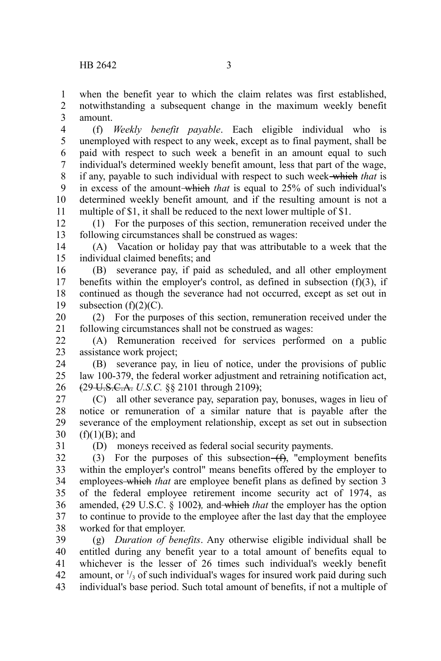when the benefit year to which the claim relates was first established, notwithstanding a subsequent change in the maximum weekly benefit amount. 1 2 3

(f) *Weekly benefit payable*. Each eligible individual who is unemployed with respect to any week, except as to final payment, shall be paid with respect to such week a benefit in an amount equal to such individual's determined weekly benefit amount, less that part of the wage, if any, payable to such individual with respect to such week which *that* is in excess of the amount which *that* is equal to 25% of such individual's determined weekly benefit amount*,* and if the resulting amount is not a multiple of \$1, it shall be reduced to the next lower multiple of \$1. 4 5 6 7 8 9 10 11

(1) For the purposes of this section, remuneration received under the following circumstances shall be construed as wages: 12 13

(A) Vacation or holiday pay that was attributable to a week that the individual claimed benefits; and 14 15

(B) severance pay, if paid as scheduled, and all other employment benefits within the employer's control, as defined in subsection  $(f)(3)$ , if continued as though the severance had not occurred, except as set out in subsection (f)(2)(C). 16 17 18 19

(2) For the purposes of this section, remuneration received under the following circumstances shall not be construed as wages: 20 21

(A) Remuneration received for services performed on a public assistance work project; 22 23

(B) severance pay, in lieu of notice, under the provisions of public law 100-379, the federal worker adjustment and retraining notification act, (29 U.S.C.A. *U.S.C.* §§ 2101 through 2109); 24 25 26

(C) all other severance pay, separation pay, bonuses, wages in lieu of notice or remuneration of a similar nature that is payable after the severance of the employment relationship, except as set out in subsection  $(f)(1)(B)$ ; and 27 28 29 30

31

(D) moneys received as federal social security payments.

(3) For the purposes of this subsection  $(f)$ , "employment benefits within the employer's control" means benefits offered by the employer to employees which *that* are employee benefit plans as defined by section 3 of the federal employee retirement income security act of 1974, as amended, (29 U.S.C. § 1002)*,* and which *that* the employer has the option to continue to provide to the employee after the last day that the employee worked for that employer. 32 33 34 35 36 37 38

(g) *Duration of benefits*. Any otherwise eligible individual shall be entitled during any benefit year to a total amount of benefits equal to whichever is the lesser of 26 times such individual's weekly benefit amount, or  $\frac{1}{3}$  of such individual's wages for insured work paid during such individual's base period. Such total amount of benefits, if not a multiple of 39 40 41 42 43